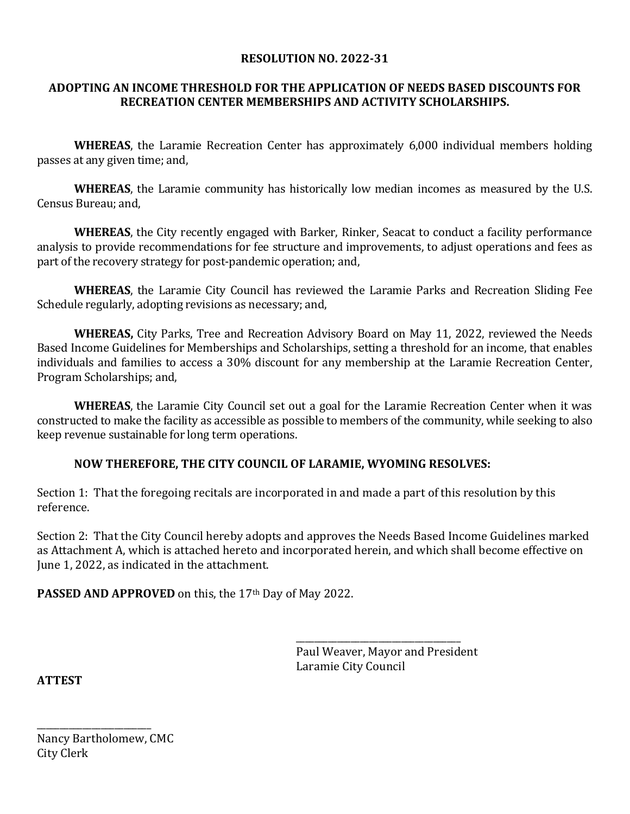#### **RESOLUTION NO. 2022-31**

#### **ADOPTING AN INCOME THRESHOLD FOR THE APPLICATION OF NEEDS BASED DISCOUNTS FOR RECREATION CENTER MEMBERSHIPS AND ACTIVITY SCHOLARSHIPS.**

**WHEREAS**, the Laramie Recreation Center has approximately 6,000 individual members holding passes at any given time; and,

**WHEREAS**, the Laramie community has historically low median incomes as measured by the U.S. Census Bureau; and,

**WHEREAS**, the City recently engaged with Barker, Rinker, Seacat to conduct a facility performance analysis to provide recommendations for fee structure and improvements, to adjust operations and fees as part of the recovery strategy for post-pandemic operation; and,

**WHEREAS**, the Laramie City Council has reviewed the Laramie Parks and Recreation Sliding Fee Schedule regularly, adopting revisions as necessary; and,

**WHEREAS,** City Parks, Tree and Recreation Advisory Board on May 11, 2022, reviewed the Needs Based Income Guidelines for Memberships and Scholarships, setting a threshold for an income, that enables individuals and families to access a 30% discount for any membership at the Laramie Recreation Center, Program Scholarships; and,

**WHEREAS**, the Laramie City Council set out a goal for the Laramie Recreation Center when it was constructed to make the facility as accessible as possible to members of the community, while seeking to also keep revenue sustainable for long term operations.

### **NOW THEREFORE, THE CITY COUNCIL OF LARAMIE, WYOMING RESOLVES:**

Section 1: That the foregoing recitals are incorporated in and made a part of this resolution by this reference.

Section 2: That the City Council hereby adopts and approves the Needs Based Income Guidelines marked as Attachment A, which is attached hereto and incorporated herein, and which shall become effective on June 1, 2022, as indicated in the attachment.

 $\overline{\phantom{a}}$  ,  $\overline{\phantom{a}}$  ,  $\overline{\phantom{a}}$  ,  $\overline{\phantom{a}}$  ,  $\overline{\phantom{a}}$  ,  $\overline{\phantom{a}}$  ,  $\overline{\phantom{a}}$  ,  $\overline{\phantom{a}}$  ,  $\overline{\phantom{a}}$  ,  $\overline{\phantom{a}}$  ,  $\overline{\phantom{a}}$  ,  $\overline{\phantom{a}}$  ,  $\overline{\phantom{a}}$  ,  $\overline{\phantom{a}}$  ,  $\overline{\phantom{a}}$  ,  $\overline{\phantom{a}}$ 

PASSED AND APPROVED on this, the 17<sup>th</sup> Day of May 2022.

 Paul Weaver, Mayor and President Laramie City Council

**ATTEST**

Nancy Bartholomew, CMC City Clerk

\_\_\_\_\_\_\_\_\_\_\_\_\_\_\_\_\_\_\_\_\_\_\_\_\_